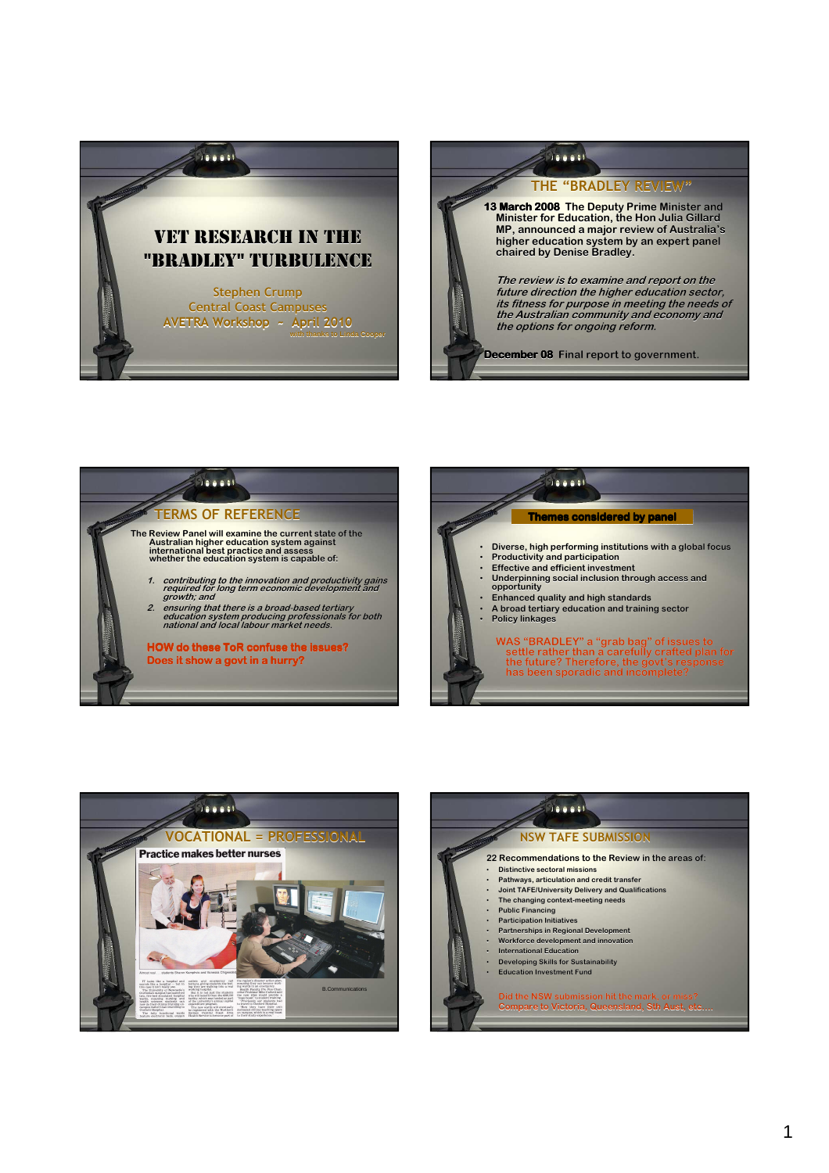